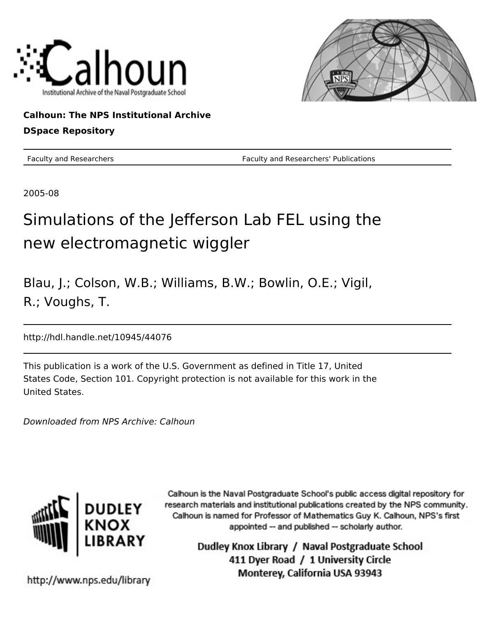



**Calhoun: The NPS Institutional Archive DSpace Repository**

Faculty and Researchers Faculty and Researchers' Publications

2005-08

# Simulations of the Jefferson Lab FEL using the new electromagnetic wiggler

Blau, J.; Colson, W.B.; Williams, B.W.; Bowlin, O.E.; Vigil, R.; Voughs, T.

http://hdl.handle.net/10945/44076

This publication is a work of the U.S. Government as defined in Title 17, United States Code, Section 101. Copyright protection is not available for this work in the United States.

Downloaded from NPS Archive: Calhoun



Calhoun is the Naval Postgraduate School's public access digital repository for research materials and institutional publications created by the NPS community. Calhoun is named for Professor of Mathematics Guy K. Calhoun, NPS's first appointed -- and published -- scholarly author.

> Dudley Knox Library / Naval Postgraduate School 411 Dyer Road / 1 University Circle Monterey, California USA 93943

http://www.nps.edu/library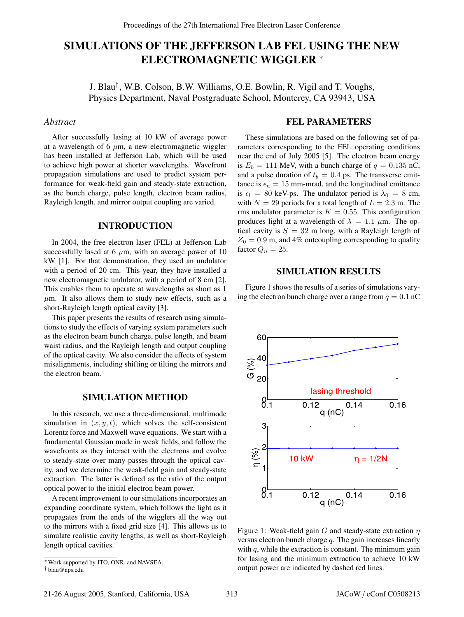# SIMULATIONS OF THE JEFFERSON LAB FEL USING THE NEW ELECTROMAGNETIC WIGGLER <sup>∗</sup>

J. Blau† , W.B. Colson, B.W. Williams, O.E. Bowlin, R. Vigil and T. Voughs, Physics Department, Naval Postgraduate School, Monterey, CA 93943, USA

## *Abstract*

After successfully lasing at 10 kW of average power at a wavelength of 6  $\mu$ m, a new electromagnetic wiggler has been installed at Jefferson Lab, which will be used to achieve high power at shorter wavelengths. Wavefront propagation simulations are used to predict system performance for weak-field gain and steady-state extraction, as the bunch charge, pulse length, electron beam radius, Rayleigh length, and mirror output coupling are varied.

#### INTRODUCTION

In 2004, the free electron laser (FEL) at Jefferson Lab successfully lased at 6  $\mu$ m, with an average power of 10 kW [1]. For that demonstration, they used an undulator with a period of 20 cm. This year, they have installed a new electromagnetic undulator, with a period of 8 cm [2]. This enables them to operate at wavelengths as short as 1  $\mu$ m. It also allows them to study new effects, such as a short-Rayleigh length optical cavity [3].

This paper presents the results of research using simulations to study the effects of varying system parameters such as the electron beam bunch charge, pulse length, and beam waist radius, and the Rayleigh length and output coupling of the optical cavity. We also consider the effects of system misalignments, including shifting or tilting the mirrors and the electron beam.

#### SIMULATION METHOD

In this research, we use a three-dimensional, multimode simulation in  $(x, y, t)$ , which solves the self-consistent Lorentz force and Maxwell wave equations. We start with a fundamental Gaussian mode in weak fields, and follow the wavefronts as they interact with the electrons and evolve to steady-state over many passes through the optical cavity, and we determine the weak-field gain and steady-state extraction. The latter is defined as the ratio of the output optical power to the initial electron beam power.

A recent improvement to our simulations incorporates an expanding coordinate system, which follows the light as it propagates from the ends of the wigglers all the way out to the mirrors with a fixed grid size [4]. This allows us to simulate realistic cavity lengths, as well as short-Rayleigh length optical cavities.

#### FEL PARAMETERS

These simulations are based on the following set of parameters corresponding to the FEL operating conditions near the end of July 2005 [5]. The electron beam energy is  $E_b = 111$  MeV, with a bunch charge of  $q = 0.135$  nC, and a pulse duration of  $t_b = 0.4$  ps. The transverse emittance is  $\epsilon_n = 15$  mm-mrad, and the longitudinal emittance is  $\epsilon_l = 80$  keV-ps. The undulator period is  $\lambda_0 = 8$  cm, with  $N = 29$  periods for a total length of  $L = 2.3$  m. The rms undulator parameter is  $K = 0.55$ . This configuration produces light at a wavelength of  $\lambda = 1.1 \mu m$ . The optical cavity is  $S = 32$  m long, with a Rayleigh length of  $Z_0 = 0.9$  m, and 4% outcoupling corresponding to quality factor  $Q_n = 25$ .

#### SIMULATION RESULTS

Figure 1 shows the results of a series of simulations varying the electron bunch charge over a range from  $q = 0.1$  nC



Figure 1: Weak-field gain G and steady-state extraction  $\eta$ versus electron bunch charge  $q$ . The gain increases linearly with  $q$ , while the extraction is constant. The minimum gain for lasing and the minimum extraction to achieve 10 kW output power are indicated by dashed red lines.

<sup>∗</sup>Work supported by JTO, ONR, and NAVSEA.

<sup>†</sup> blau@nps.edu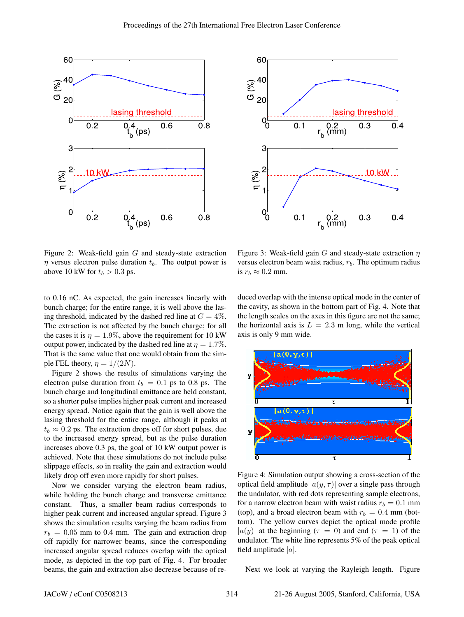



Figure 2: Weak-field gain  $G$  and steady-state extraction  $\eta$  versus electron pulse duration  $t_b$ . The output power is above 10 kW for  $t_b > 0.3$  ps.

to 0.16 nC. As expected, the gain increases linearly with bunch charge; for the entire range, it is well above the lasing threshold, indicated by the dashed red line at  $G = 4\%$ . The extraction is not affected by the bunch charge; for all the cases it is  $\eta = 1.9\%$ , above the requirement for 10 kW output power, indicated by the dashed red line at  $\eta = 1.7\%$ . That is the same value that one would obtain from the simple FEL theory,  $\eta = 1/(2N)$ .

Figure 2 shows the results of simulations varying the electron pulse duration from  $t_b = 0.1$  ps to 0.8 ps. The bunch charge and longitudinal emittance are held constant, so a shorter pulse implies higher peak current and increased energy spread. Notice again that the gain is well above the lasing threshold for the entire range, although it peaks at  $t_b \approx 0.2$  ps. The extraction drops off for short pulses, due to the increased energy spread, but as the pulse duration increases above 0.3 ps, the goal of 10 kW output power is achieved. Note that these simulations do not include pulse slippage effects, so in reality the gain and extraction would likely drop off even more rapidly for short pulses.

Now we consider varying the electron beam radius, while holding the bunch charge and transverse emittance constant. Thus, a smaller beam radius corresponds to higher peak current and increased angular spread. Figure 3 shows the simulation results varying the beam radius from  $r_b = 0.05$  mm to 0.4 mm. The gain and extraction drop off rapidly for narrower beams, since the corresponding increased angular spread reduces overlap with the optical mode, as depicted in the top part of Fig. 4. For broader beams, the gain and extraction also decrease because of re-

Figure 3: Weak-field gain G and steady-state extraction  $\eta$ versus electron beam waist radius,  $r<sub>b</sub>$ . The optimum radius is  $r_b \approx 0.2$  mm.

duced overlap with the intense optical mode in the center of the cavity, as shown in the bottom part of Fig. 4. Note that the length scales on the axes in this figure are not the same; the horizontal axis is  $L = 2.3$  m long, while the vertical axis is only 9 mm wide.



Figure 4: Simulation output showing a cross-section of the optical field amplitude  $|a(y, \tau)|$  over a single pass through the undulator, with red dots representing sample electrons, for a narrow electron beam with waist radius  $r_b = 0.1$  mm (top), and a broad electron beam with  $r_b = 0.4$  mm (bottom). The yellow curves depict the optical mode profile  $|a(y)|$  at the beginning ( $\tau = 0$ ) and end ( $\tau = 1$ ) of the undulator. The white line represents 5% of the peak optical field amplitude  $|a|$ .

Next we look at varying the Rayleigh length. Figure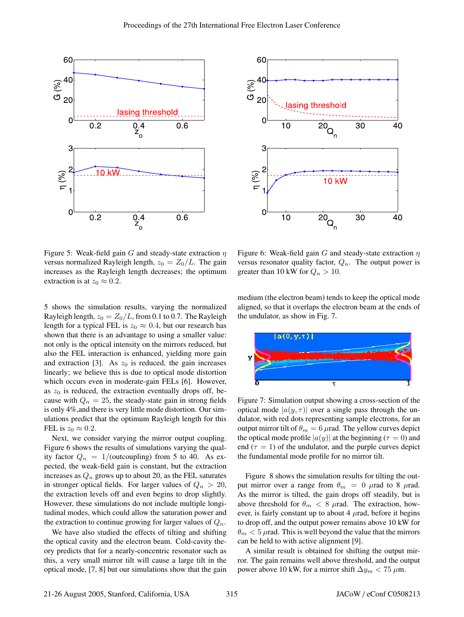



Figure 5: Weak-field gain G and steady-state extraction  $\eta$ versus normalized Rayleigh length,  $z_0 = Z_0/L$ . The gain increases as the Rayleigh length decreases; the optimum extraction is at  $z_0 \approx 0.2$ .

5 shows the simulation results, varying the normalized Rayleigh length,  $z_0 = Z_0/L$ , from 0.1 to 0.7. The Rayleigh length for a typical FEL is  $z_0 \approx 0.4$ , but our research has shown that there is an advantage to using a smaller value: not only is the optical intensity on the mirrors reduced, but also the FEL interaction is enhanced, yielding more gain and extraction [3]. As  $z_0$  is reduced, the gain increases linearly; we believe this is due to optical mode distortion which occurs even in moderate-gain FELs [6]. However, as  $z_0$  is reduced, the extraction eventually drops off, because with  $Q_n = 25$ , the steady-state gain in strong fields is only 4%,and there is very little mode distortion. Our simulations predict that the optimum Rayleigh length for this FEL is  $z_0 \approx 0.2$ .

Next, we consider varying the mirror output coupling. Figure 6 shows the results of simulations varying the quality factor  $Q_n = 1/(\text{outcoupling})$  from 5 to 40. As expected, the weak-field gain is constant, but the extraction increases as  $Q_n$  grows up to about 20, as the FEL saturates in stronger optical fields. For larger values of  $Q_n > 20$ , the extraction levels off and even begins to drop slightly. However, these simulations do not include multiple longitudinal modes, which could allow the saturation power and the extraction to continue growing for larger values of  $Q_n$ .

We have also studied the effects of tilting and shifting the optical cavity and the electron beam. Cold-cavity theory predicts that for a nearly-concentric resonator such as this, a very small mirror tilt will cause a large tilt in the optical mode, [7, 8] but our simulations show that the gain

Figure 6: Weak-field gain G and steady-state extraction  $\eta$ versus resonator quality factor,  $Q_n$ . The output power is greater than 10 kW for  $Q_n > 10$ .

medium (the electron beam) tends to keep the optical mode aligned, so that it overlaps the electron beam at the ends of the undulator, as show in Fig. 7.



Figure 7: Simulation output showing a cross-section of the optical mode  $|a(y, \tau)|$  over a single pass through the undulator, with red dots representing sample electrons, for an output mirror tilt of  $\theta_m = 6 \ \mu$ rad. The yellow curves depict the optical mode profile  $|a(y)|$  at the beginning ( $\tau = 0$ ) and end ( $\tau = 1$ ) of the undulator, and the purple curves depict the fundamental mode profile for no mirror tilt.

Figure 8 shows the simulation results for tilting the output mirror over a range from  $\theta_m = 0$   $\mu$ rad to 8  $\mu$ rad. As the mirror is tilted, the gain drops off steadily, but is above threshold for  $\theta_m < 8$   $\mu$ rad. The extraction, however, is fairly constant up to about 4  $\mu$ rad, before it begins to drop off, and the output power remains above 10 kW for  $\theta_m < 5$  µrad. This is well beyond the value that the mirrors can be held to with active alignment [9].

A similar result is obtained for shifting the output mirror. The gain remains well above threshold, and the output power above 10 kW, for a mirror shift  $\Delta y_m < 75 \ \mu \text{m}$ .